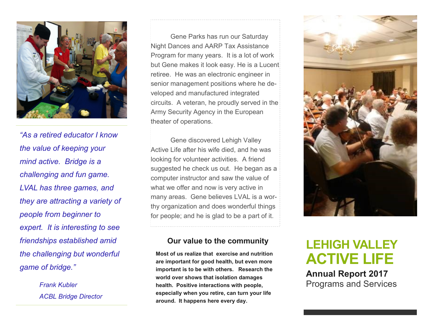

*"As a retired educator I know the value of keeping your mind active. Bridge is a challenging and fun game. LVAL has three games, and they are attracting a variety of people from beginner to expert. It is interesting to see friendships established amid the challenging but wonderful game of bridge."* 

> *Frank Kubler ACBL Bridge Director*

Gene Parks has run our Saturday Night Dances and AARP Tax Assistance Program for many years. It is a lot of work but Gene makes it look easy. He is a Lucent retiree. He was an electronic engineer in senior management positions where he developed and manufactured integrated circuits. A veteran, he proudly served in the Army Security Agency in the European theater of operations.

Gene discovered Lehigh Valley Active Life after his wife died, and he was looking for volunteer activities. A friend suggested he check us out. He began as a computer instructor and saw the value of what we offer and now is very active in many areas. Gene believes LVAL is a worthy organization and does wonderful things for people; and he is glad to be a part of it.

#### **Our value to the community**

**Most of us realize that exercise and nutrition are important for good health, but even more important is to be with others. Research the world over shows that isolation damages health. Positive interactions with people, especially when you retire, can turn your life around. It happens here every day.** 



# **LEHIGH VALLEY ACTIVE LIFE**

**Annual Report 2017** Programs and Services